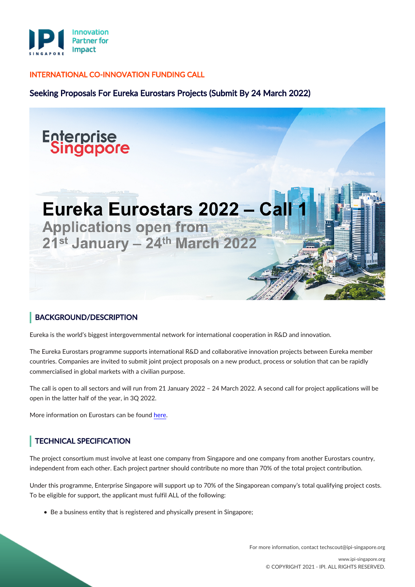

#### INTERNATIONAL CO-INNOVATION FUNDING CALL

Seeking Proposals For Eureka Eurostars Projects (Submit By 24 March 2022)



### BACKGROUND/DESCRIPTION

Eureka is the world's biggest intergovernmental network for international cooperation in R&D and innovation.

The Eureka Eurostars programme supports international R&D and collaborative innovation projects between Eureka member countries. Companies are invited to submit joint project proposals on a new product, process or solution that can be rapidly commercialised in global markets with a civilian purpose.

The call is open to all sectors and will run from 21 January 2022 – 24 March 2022. A second call for project applications will be open in the latter half of the year, in 3Q 2022.

More information on Eurostars can be found [here](https://www.eurekanetwork.org/open-calls/eurostars-funding-programme-2022-call-1).

# TECHNICAL SPECIFICATION

The project consortium must involve at least one company from Singapore and one company from another Eurostars country, independent from each other. Each project partner should contribute no more than 70% of the total project contribution.

Under this programme, Enterprise Singapore will support up to 70% of the Singaporean company's total qualifying project costs. To be eligible for support, the applicant must fulfil ALL of the following:

• Be a business entity that is registered and physically present in Singapore;

For more information, contact techscout@ipi-singapore.org